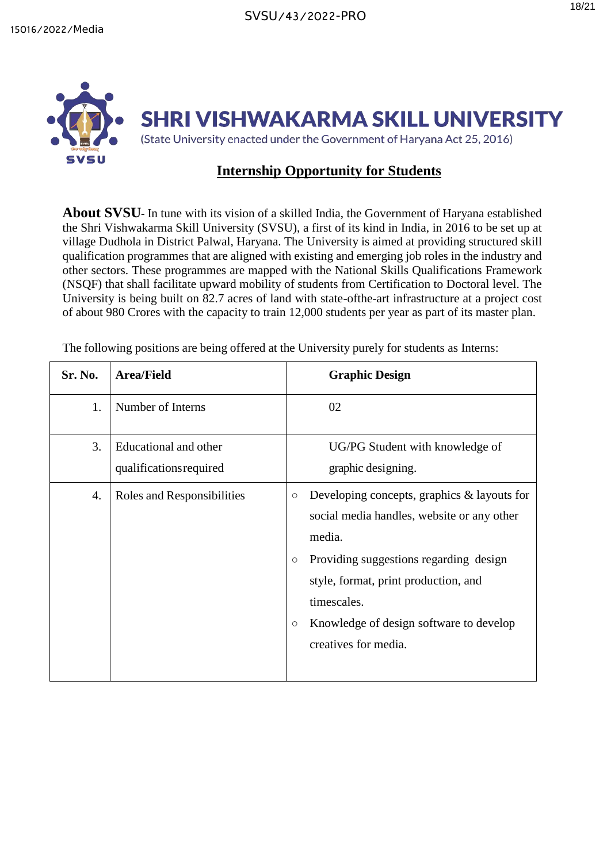## **Internship Opportunity for Students**

**About SVSU**- In tune with its vision of a skilled India, the Government of Haryana established the Shri Vishwakarma Skill University (SVSU), a first of its kind in India, in 2016 to be set up at village Dudhola in District Palwal, Haryana. The University is aimed at providing structured skill qualification programmes that are aligned with existing and emerging job roles in the industry and other sectors. These programmes are mapped with the National Skills Qualifications Framework (NSQF) that shall facilitate upward mobility of students from Certification to Doctoral level. The University is being built on 82.7 acres of land with state-ofthe-art infrastructure at a project cost of about 980 Crores with the capacity to train 12,000 students per year as part of its master plan.

| Sr. No. | <b>Area/Field</b>                                | <b>Graphic Design</b>                                                                                                                                                                                                                                                                                       |
|---------|--------------------------------------------------|-------------------------------------------------------------------------------------------------------------------------------------------------------------------------------------------------------------------------------------------------------------------------------------------------------------|
| 1.      | Number of Interns                                | 02                                                                                                                                                                                                                                                                                                          |
| 3.      | Educational and other<br>qualifications required | UG/PG Student with knowledge of<br>graphic designing.                                                                                                                                                                                                                                                       |
| 4.      | Roles and Responsibilities                       | Developing concepts, graphics $\&$ layouts for<br>$\circ$<br>social media handles, website or any other<br>media.<br>Providing suggestions regarding design<br>$\circ$<br>style, format, print production, and<br>timescales.<br>Knowledge of design software to develop<br>$\circ$<br>creatives for media. |

The following positions are being offered at the University purely for students as Interns: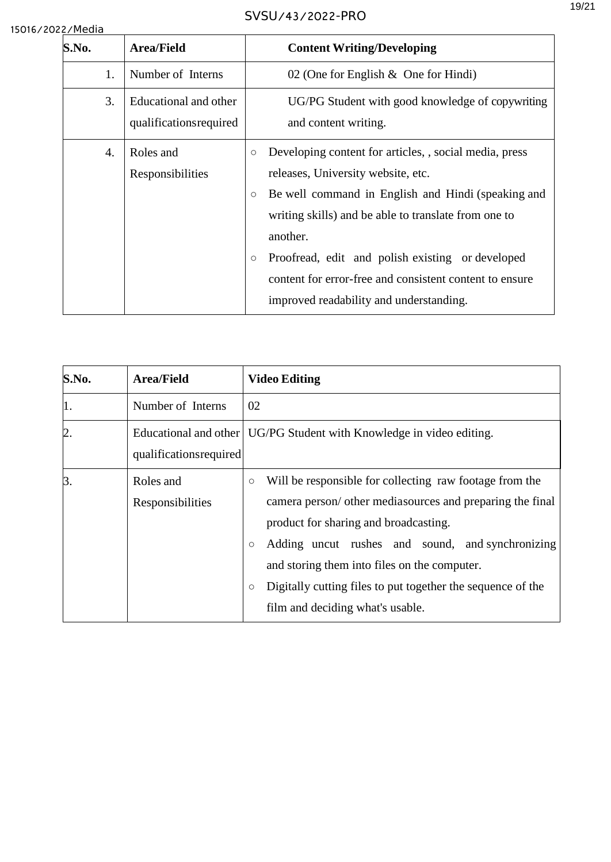| S.No. | <b>Area/Field</b>                                | <b>Content Writing/Developing</b>                                                                                                                                                                                                                                                                                                                                                                                 |
|-------|--------------------------------------------------|-------------------------------------------------------------------------------------------------------------------------------------------------------------------------------------------------------------------------------------------------------------------------------------------------------------------------------------------------------------------------------------------------------------------|
| 1.    | Number of Interns                                | 02 (One for English $\&$ One for Hindi)                                                                                                                                                                                                                                                                                                                                                                           |
| 3.    | Educational and other<br>qualifications required | UG/PG Student with good knowledge of copywriting<br>and content writing.                                                                                                                                                                                                                                                                                                                                          |
| 4.    | Roles and<br>Responsibilities                    | Developing content for articles, , social media, press<br>$\circ$<br>releases, University website, etc.<br>Be well command in English and Hindi (speaking and<br>$\circ$<br>writing skills) and be able to translate from one to<br>another.<br>Proofread, edit and polish existing or developed<br>$\circ$<br>content for error-free and consistent content to ensure<br>improved readability and understanding. |

| S.No. | <b>Area/Field</b>             | <b>Video Editing</b>                                                                                                                                                                                                                                                                                                                                                                                  |
|-------|-------------------------------|-------------------------------------------------------------------------------------------------------------------------------------------------------------------------------------------------------------------------------------------------------------------------------------------------------------------------------------------------------------------------------------------------------|
| 1.    | Number of Interns             | 02                                                                                                                                                                                                                                                                                                                                                                                                    |
| 2.    | qualifications required       | Educational and other   UG/PG Student with Knowledge in video editing.                                                                                                                                                                                                                                                                                                                                |
| 3.    | Roles and<br>Responsibilities | Will be responsible for collecting raw footage from the<br>$\circ$<br>camera person/ other mediasources and preparing the final<br>product for sharing and broadcasting.<br>Adding uncut rushes and sound, and synchronizing<br>$\circ$<br>and storing them into files on the computer.<br>Digitally cutting files to put together the sequence of the<br>$\circ$<br>film and deciding what's usable. |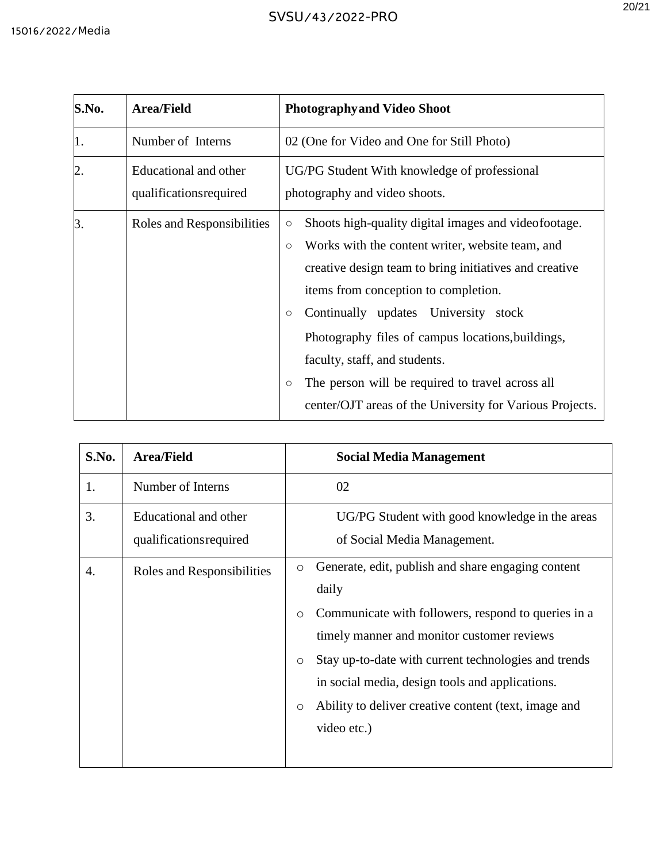| S.No.            | <b>Area/Field</b>                                | <b>Photographyand Video Shoot</b>                                                                                                                                                                                                                                                                                                                                                                                                                                                                                                              |
|------------------|--------------------------------------------------|------------------------------------------------------------------------------------------------------------------------------------------------------------------------------------------------------------------------------------------------------------------------------------------------------------------------------------------------------------------------------------------------------------------------------------------------------------------------------------------------------------------------------------------------|
| 1.               | Number of Interns                                | 02 (One for Video and One for Still Photo)                                                                                                                                                                                                                                                                                                                                                                                                                                                                                                     |
| $\overline{2}$ . | Educational and other<br>qualifications required | UG/PG Student With knowledge of professional<br>photography and video shoots.                                                                                                                                                                                                                                                                                                                                                                                                                                                                  |
| 3.               | Roles and Responsibilities                       | Shoots high-quality digital images and videofootage.<br>$\bigcirc$<br>Works with the content writer, website team, and<br>$\circlearrowright$<br>creative design team to bring initiatives and creative<br>items from conception to completion.<br>Continually updates<br>University stock<br>$\circlearrowright$<br>Photography files of campus locations, buildings,<br>faculty, staff, and students.<br>The person will be required to travel across all<br>$\circlearrowright$<br>center/OJT areas of the University for Various Projects. |

| S.No. | <b>Area/Field</b>                                | <b>Social Media Management</b>                                                                                                                                                                                                                                                                                                                                                                 |
|-------|--------------------------------------------------|------------------------------------------------------------------------------------------------------------------------------------------------------------------------------------------------------------------------------------------------------------------------------------------------------------------------------------------------------------------------------------------------|
| 1.    | Number of Interns                                | 02                                                                                                                                                                                                                                                                                                                                                                                             |
| 3.    | Educational and other<br>qualifications required | UG/PG Student with good knowledge in the areas<br>of Social Media Management.                                                                                                                                                                                                                                                                                                                  |
| 4.    | Roles and Responsibilities                       | Generate, edit, publish and share engaging content<br>$\circ$<br>daily<br>Communicate with followers, respond to queries in a<br>$\circ$<br>timely manner and monitor customer reviews<br>Stay up-to-date with current technologies and trends<br>$\circ$<br>in social media, design tools and applications.<br>Ability to deliver creative content (text, image and<br>$\circ$<br>video etc.) |